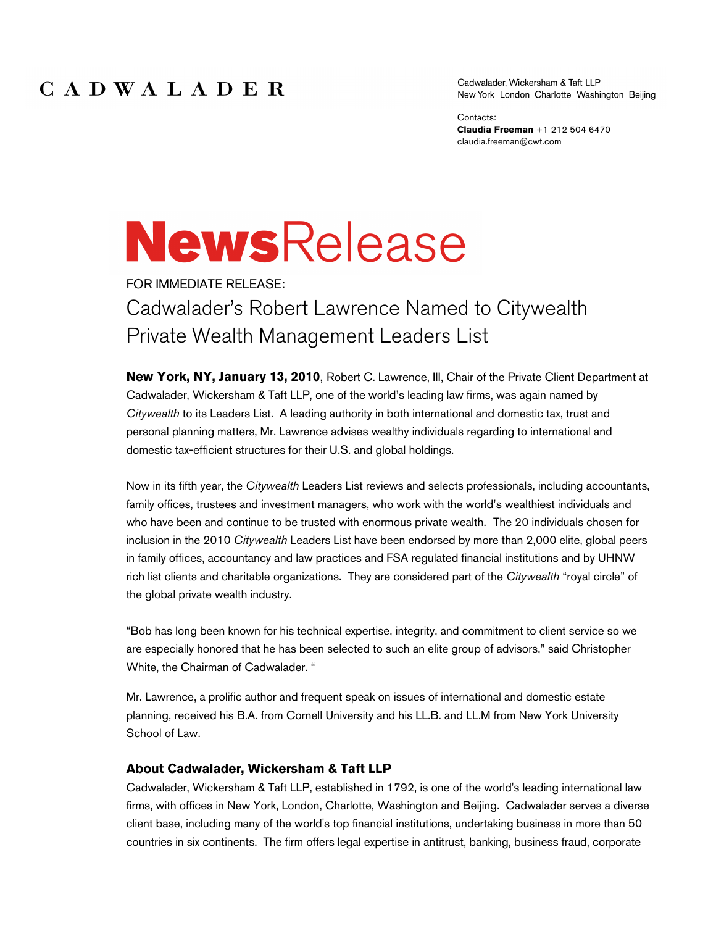### CADWALADER

Cadwalader, Wickersham & Taft LLP New York London Charlotte Washington Beijing

Contacts: **Claudia Freeman** +1 212 504 6470 claudia.freeman@cwt.com

# **NewsRelease**

FOR IMMEDIATE RELEASE: Cadwalader's Robert Lawrence Named to Citywealth Private Wealth Management Leaders List

**New York, NY, January 13, 2010**, Robert C. Lawrence, III, Chair of the Private Client Department at Cadwalader, Wickersham & Taft LLP, one of the world's leading law firms, was again named by *Citywealth* to its Leaders List. A leading authority in both international and domestic tax, trust and personal planning matters, Mr. Lawrence advises wealthy individuals regarding to international and domestic tax-efficient structures for their U.S. and global holdings.

Now in its fifth year, the *Citywealth* Leaders List reviews and selects professionals, including accountants, family offices, trustees and investment managers, who work with the world's wealthiest individuals and who have been and continue to be trusted with enormous private wealth. The 20 individuals chosen for inclusion in the 2010 *Citywealth* Leaders List have been endorsed by more than 2,000 elite, global peers in family offices, accountancy and law practices and FSA regulated financial institutions and by UHNW rich list clients and charitable organizations. They are considered part of the *Citywealth* "royal circle" of the global private wealth industry.

"Bob has long been known for his technical expertise, integrity, and commitment to client service so we are especially honored that he has been selected to such an elite group of advisors," said Christopher White, the Chairman of Cadwalader. "

Mr. Lawrence, a prolific author and frequent speak on issues of international and domestic estate planning, received his B.A. from Cornell University and his LL.B. and LL.M from New York University School of Law.

#### **About Cadwalader, Wickersham & Taft LLP**

Cadwalader, Wickersham & Taft LLP, established in 1792, is one of the world's leading international law firms, with offices in New York, London, Charlotte, Washington and Beijing. Cadwalader serves a diverse client base, including many of the world's top financial institutions, undertaking business in more than 50 countries in six continents. The firm offers legal expertise in antitrust, banking, business fraud, corporate